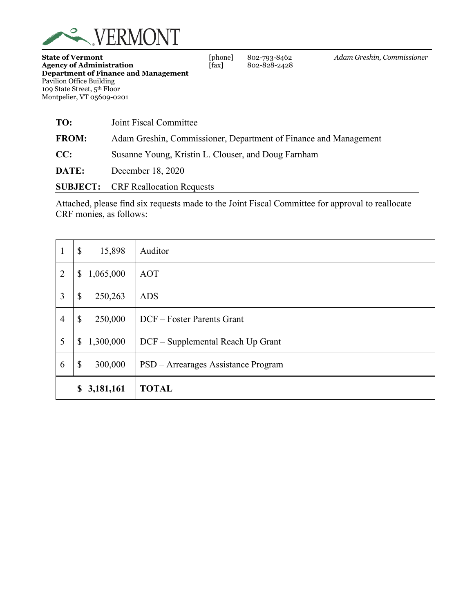

| TO:          | Joint Fiscal Committee                                           |
|--------------|------------------------------------------------------------------|
| <b>FROM:</b> | Adam Greshin, Commissioner, Department of Finance and Management |
| CC:          | Susanne Young, Kristin L. Clouser, and Doug Farnham              |
| DATE:        | December 18, 2020                                                |
|              | <b>SUBJECT:</b> CRF Reallocation Requests                        |

Attached, please find six requests made to the Joint Fiscal Committee for approval to reallocate CRF monies, as follows:

| 1              | $\boldsymbol{\mathsf{S}}$<br>15,898  | Auditor                             |
|----------------|--------------------------------------|-------------------------------------|
| $\overline{2}$ | 1,065,000<br>\$                      | AOT                                 |
| 3              | $\boldsymbol{\mathsf{S}}$<br>250,263 | <b>ADS</b>                          |
| $\overline{4}$ | $\boldsymbol{\mathsf{S}}$<br>250,000 | DCF – Foster Parents Grant          |
| 5              | 1,300,000<br>\$                      | DCF - Supplemental Reach Up Grant   |
| 6              | $\boldsymbol{\mathsf{S}}$<br>300,000 | PSD - Arrearages Assistance Program |
|                | 3,181,161<br>\$                      | <b>TOTAL</b>                        |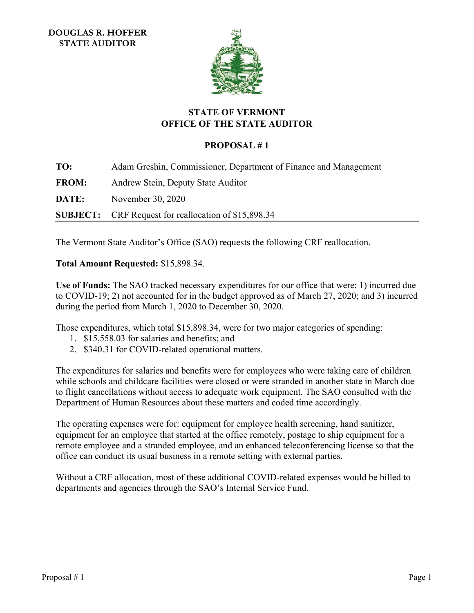

# **STATE OF VERMONT OFFICE OF THE STATE AUDITOR**

# **PROPOSAL # 1**

<span id="page-1-0"></span>**TO:** Adam Greshin, Commissioner, Department of Finance and Management **FROM:** Andrew Stein, Deputy State Auditor **DATE:** November 30, 2020 **SUBJECT:** CRF Request for reallocation of \$15,898.34

The Vermont State Auditor's Office (SAO) requests the following CRF reallocation.

# **Total Amount Requested:** \$15,898.34.

**Use of Funds:** The SAO tracked necessary expenditures for our office that were: 1) incurred due to COVID-19; 2) not accounted for in the budget approved as of March 27, 2020; and 3) incurred during the period from March 1, 2020 to December 30, 2020.

Those expenditures, which total \$15,898.34, were for two major categories of spending:

- 1. \$15,558.03 for salaries and benefits; and
- 2. \$340.31 for COVID-related operational matters.

The expenditures for salaries and benefits were for employees who were taking care of children while schools and childcare facilities were closed or were stranded in another state in March due to flight cancellations without access to adequate work equipment. The SAO consulted with the Department of Human Resources about these matters and coded time accordingly.

The operating expenses were for: equipment for employee health screening, hand sanitizer, equipment for an employee that started at the office remotely, postage to ship equipment for a remote employee and a stranded employee, and an enhanced teleconferencing license so that the office can conduct its usual business in a remote setting with external parties.

Without a CRF allocation, most of these additional COVID-related expenses would be billed to departments and agencies through the SAO's Internal Service Fund.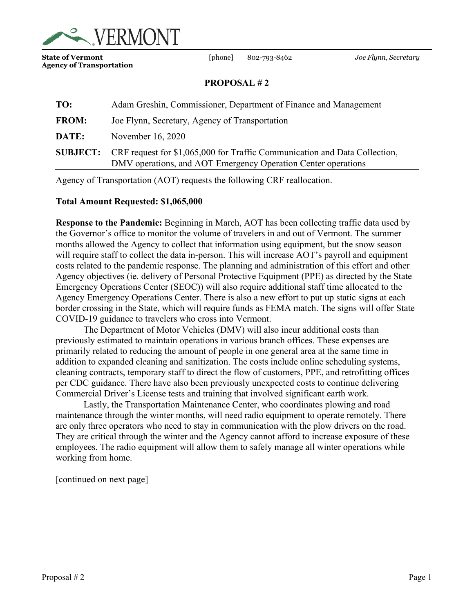<span id="page-2-0"></span>

**State of Vermont** [phone] 802-793-8462 *Joe Flynn, Secretary*  **Agency of Transportation**

## **PROPOSAL # 2**

| TO:          | Adam Greshin, Commissioner, Department of Finance and Management                                                                                            |
|--------------|-------------------------------------------------------------------------------------------------------------------------------------------------------------|
| <b>FROM:</b> | Joe Flynn, Secretary, Agency of Transportation                                                                                                              |
| DATE:        | November 16, 2020                                                                                                                                           |
|              | <b>SUBJECT:</b> CRF request for \$1,065,000 for Traffic Communication and Data Collection,<br>DMV operations, and AOT Emergency Operation Center operations |

Agency of Transportation (AOT) requests the following CRF reallocation.

### **Total Amount Requested: \$1,065,000**

**Response to the Pandemic:** Beginning in March, AOT has been collecting traffic data used by the Governor's office to monitor the volume of travelers in and out of Vermont. The summer months allowed the Agency to collect that information using equipment, but the snow season will require staff to collect the data in-person. This will increase AOT's payroll and equipment costs related to the pandemic response. The planning and administration of this effort and other Agency objectives (ie. delivery of Personal Protective Equipment (PPE) as directed by the State Emergency Operations Center (SEOC)) will also require additional staff time allocated to the Agency Emergency Operations Center. There is also a new effort to put up static signs at each border crossing in the State, which will require funds as FEMA match. The signs will offer State COVID-19 guidance to travelers who cross into Vermont.

The Department of Motor Vehicles (DMV) will also incur additional costs than previously estimated to maintain operations in various branch offices. These expenses are primarily related to reducing the amount of people in one general area at the same time in addition to expanded cleaning and sanitization. The costs include online scheduling systems, cleaning contracts, temporary staff to direct the flow of customers, PPE, and retrofitting offices per CDC guidance. There have also been previously unexpected costs to continue delivering Commercial Driver's License tests and training that involved significant earth work.

Lastly, the Transportation Maintenance Center, who coordinates plowing and road maintenance through the winter months, will need radio equipment to operate remotely. There are only three operators who need to stay in communication with the plow drivers on the road. They are critical through the winter and the Agency cannot afford to increase exposure of these employees. The radio equipment will allow them to safely manage all winter operations while working from home.

[continued on next page]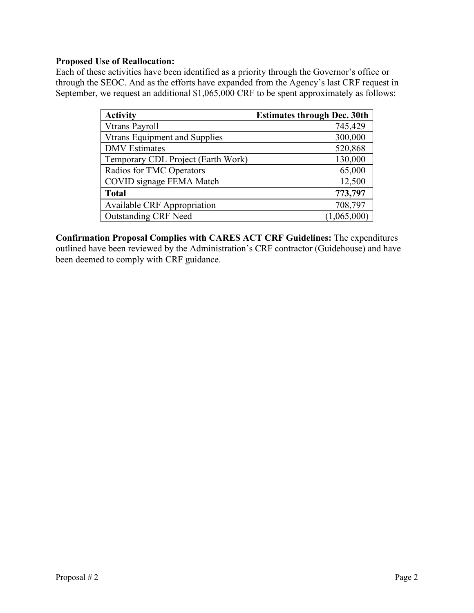## **Proposed Use of Reallocation:**

Each of these activities have been identified as a priority through the Governor's office or through the SEOC. And as the efforts have expanded from the Agency's last CRF request in September, we request an additional \$1,065,000 CRF to be spent approximately as follows:

| <b>Activity</b>                      | <b>Estimates through Dec. 30th</b> |
|--------------------------------------|------------------------------------|
| Vtrans Payroll                       | 745,429                            |
| <b>Vtrans Equipment and Supplies</b> | 300,000                            |
| <b>DMV</b> Estimates                 | 520,868                            |
| Temporary CDL Project (Earth Work)   | 130,000                            |
| Radios for TMC Operators             | 65,000                             |
| COVID signage FEMA Match             | 12,500                             |
| <b>Total</b>                         | 773,797                            |
| <b>Available CRF Appropriation</b>   | 708,797                            |
| <b>Outstanding CRF Need</b>          | (1,065,000)                        |

**Confirmation Proposal Complies with CARES ACT CRF Guidelines:** The expenditures outlined have been reviewed by the Administration's CRF contractor (Guidehouse) and have been deemed to comply with CRF guidance.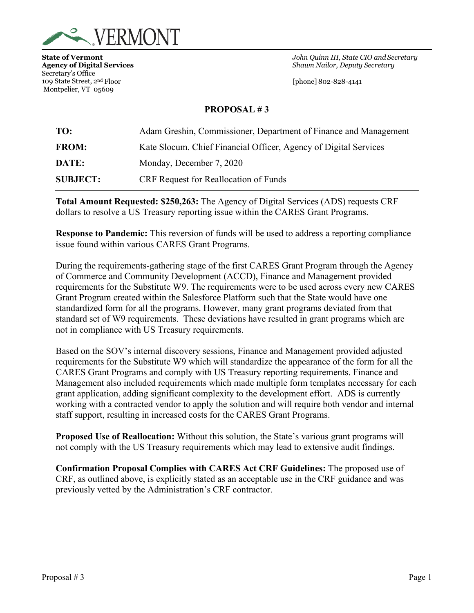<span id="page-4-0"></span>

Secretary's Office 109 State Street, 2nd Floor [phone] 802-828-4141 Montpelier, VT 05609

**State of Vermont** *John Quinn III, State CIO and Secretary* **Agency of Digital Services** *Shawn Nailor, Deputy Secretary*

### **PROPOSAL # 3**

| TO:             | Adam Greshin, Commissioner, Department of Finance and Management |
|-----------------|------------------------------------------------------------------|
| <b>FROM:</b>    | Kate Slocum. Chief Financial Officer, Agency of Digital Services |
| DATE:           | Monday, December 7, 2020                                         |
| <b>SUBJECT:</b> | <b>CRF</b> Request for Reallocation of Funds                     |

**Total Amount Requested: \$250,263:** The Agency of Digital Services (ADS) requests CRF dollars to resolve a US Treasury reporting issue within the CARES Grant Programs.

**Response to Pandemic:** This reversion of funds will be used to address a reporting compliance issue found within various CARES Grant Programs.

During the requirements-gathering stage of the first CARES Grant Program through the Agency of Commerce and Community Development (ACCD), Finance and Management provided requirements for the Substitute W9. The requirements were to be used across every new CARES Grant Program created within the Salesforce Platform such that the State would have one standardized form for all the programs. However, many grant programs deviated from that standard set of W9 requirements. These deviations have resulted in grant programs which are not in compliance with US Treasury requirements.

Based on the SOV's internal discovery sessions, Finance and Management provided adjusted requirements for the Substitute W9 which will standardize the appearance of the form for all the CARES Grant Programs and comply with US Treasury reporting requirements. Finance and Management also included requirements which made multiple form templates necessary for each grant application, adding significant complexity to the development effort. ADS is currently working with a contracted vendor to apply the solution and will require both vendor and internal staff support, resulting in increased costs for the CARES Grant Programs.

**Proposed Use of Reallocation:** Without this solution, the State's various grant programs will not comply with the US Treasury requirements which may lead to extensive audit findings.

**Confirmation Proposal Complies with CARES Act CRF Guidelines:** The proposed use of CRF, as outlined above, is explicitly stated as an acceptable use in the CRF guidance and was previously vetted by the Administration's CRF contractor.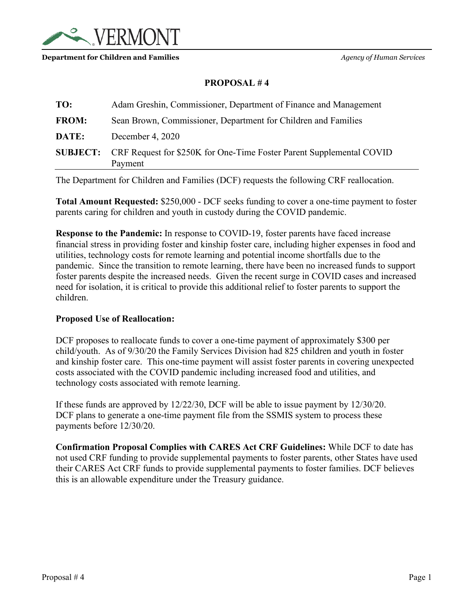<span id="page-5-0"></span>

#### **Department for Children and Families** *Agency of Human Services*

## **PROPOSAL # 4**

| TO:          | Adam Greshin, Commissioner, Department of Finance and Management                                |
|--------------|-------------------------------------------------------------------------------------------------|
| <b>FROM:</b> | Sean Brown, Commissioner, Department for Children and Families                                  |
| DATE:        | December 4, 2020                                                                                |
|              | <b>SUBJECT:</b> CRF Request for \$250K for One-Time Foster Parent Supplemental COVID<br>Payment |
|              |                                                                                                 |

The Department for Children and Families (DCF) requests the following CRF reallocation.

**Total Amount Requested:** \$250,000 - DCF seeks funding to cover a one-time payment to foster parents caring for children and youth in custody during the COVID pandemic.

**Response to the Pandemic:** In response to COVID-19, foster parents have faced increase financial stress in providing foster and kinship foster care, including higher expenses in food and utilities, technology costs for remote learning and potential income shortfalls due to the pandemic. Since the transition to remote learning, there have been no increased funds to support foster parents despite the increased needs. Given the recent surge in COVID cases and increased need for isolation, it is critical to provide this additional relief to foster parents to support the children.

### **Proposed Use of Reallocation:**

DCF proposes to reallocate funds to cover a one-time payment of approximately \$300 per child/youth. As of 9/30/20 the Family Services Division had 825 children and youth in foster and kinship foster care. This one-time payment will assist foster parents in covering unexpected costs associated with the COVID pandemic including increased food and utilities, and technology costs associated with remote learning.

If these funds are approved by 12/22/30, DCF will be able to issue payment by 12/30/20. DCF plans to generate a one-time payment file from the SSMIS system to process these payments before 12/30/20.

**Confirmation Proposal Complies with CARES Act CRF Guidelines:** While DCF to date has not used CRF funding to provide supplemental payments to foster parents, other States have used their CARES Act CRF funds to provide supplemental payments to foster families. DCF believes this is an allowable expenditure under the Treasury guidance.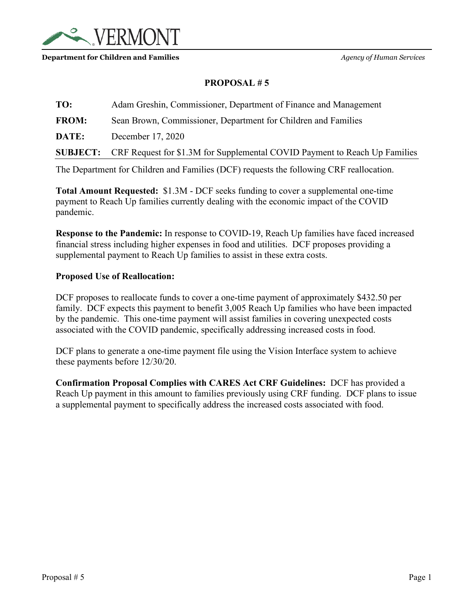<span id="page-6-0"></span>

#### **Department for Children and Families** *Agency of Human Services*

# **PROPOSAL # 5**

**TO:** Adam Greshin, Commissioner, Department of Finance and Management **FROM:** Sean Brown, Commissioner, Department for Children and Families **DATE:** December 17, 2020 **SUBJECT:** CRF Request for \$1.3M for Supplemental COVID Payment to Reach Up Families

The Department for Children and Families (DCF) requests the following CRF reallocation.

**Total Amount Requested:** \$1.3M - DCF seeks funding to cover a supplemental one-time payment to Reach Up families currently dealing with the economic impact of the COVID pandemic.

**Response to the Pandemic:** In response to COVID-19, Reach Up families have faced increased financial stress including higher expenses in food and utilities. DCF proposes providing a supplemental payment to Reach Up families to assist in these extra costs.

### **Proposed Use of Reallocation:**

DCF proposes to reallocate funds to cover a one-time payment of approximately \$432.50 per family. DCF expects this payment to benefit 3,005 Reach Up families who have been impacted by the pandemic. This one-time payment will assist families in covering unexpected costs associated with the COVID pandemic, specifically addressing increased costs in food.

DCF plans to generate a one-time payment file using the Vision Interface system to achieve these payments before 12/30/20.

**Confirmation Proposal Complies with CARES Act CRF Guidelines:** DCF has provided a Reach Up payment in this amount to families previously using CRF funding. DCF plans to issue a supplemental payment to specifically address the increased costs associated with food.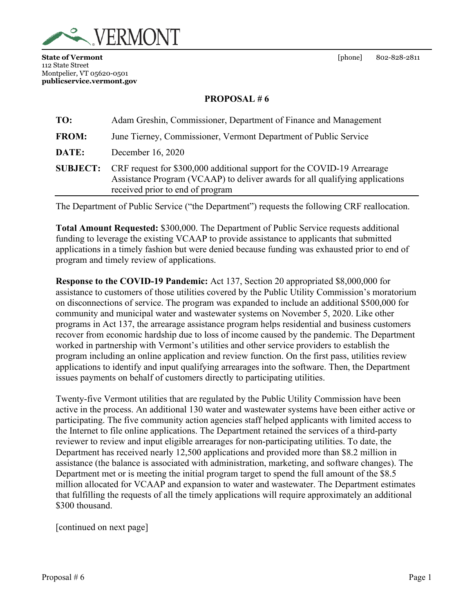<span id="page-7-0"></span>

## **PROPOSAL # 6**

| TO:             | Adam Greshin, Commissioner, Department of Finance and Management                                                                                                                            |
|-----------------|---------------------------------------------------------------------------------------------------------------------------------------------------------------------------------------------|
| <b>FROM:</b>    | June Tierney, Commissioner, Vermont Department of Public Service                                                                                                                            |
| DATE:           | December 16, 2020                                                                                                                                                                           |
| <b>SUBJECT:</b> | CRF request for \$300,000 additional support for the COVID-19 Arrearage<br>Assistance Program (VCAAP) to deliver awards for all qualifying applications<br>received prior to end of program |

The Department of Public Service ("the Department") requests the following CRF reallocation.

**Total Amount Requested:** \$300,000. The Department of Public Service requests additional funding to leverage the existing VCAAP to provide assistance to applicants that submitted applications in a timely fashion but were denied because funding was exhausted prior to end of program and timely review of applications.

**Response to the COVID-19 Pandemic:** Act 137, Section 20 appropriated \$8,000,000 for assistance to customers of those utilities covered by the Public Utility Commission's moratorium on disconnections of service. The program was expanded to include an additional \$500,000 for community and municipal water and wastewater systems on November 5, 2020. Like other programs in Act 137, the arrearage assistance program helps residential and business customers recover from economic hardship due to loss of income caused by the pandemic. The Department worked in partnership with Vermont's utilities and other service providers to establish the program including an online application and review function. On the first pass, utilities review applications to identify and input qualifying arrearages into the software. Then, the Department issues payments on behalf of customers directly to participating utilities.

Twenty-five Vermont utilities that are regulated by the Public Utility Commission have been active in the process. An additional 130 water and wastewater systems have been either active or participating. The five community action agencies staff helped applicants with limited access to the Internet to file online applications. The Department retained the services of a third-party reviewer to review and input eligible arrearages for non-participating utilities. To date, the Department has received nearly 12,500 applications and provided more than \$8.2 million in assistance (the balance is associated with administration, marketing, and software changes). The Department met or is meeting the initial program target to spend the full amount of the \$8.5 million allocated for VCAAP and expansion to water and wastewater. The Department estimates that fulfilling the requests of all the timely applications will require approximately an additional \$300 thousand.

[continued on next page]